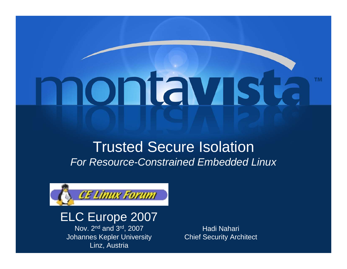# montavista

# Trusted Secure Isolation *For Resource-Constrained Embedded Linux*



# ELC Europe 2007

Nov. 2n<sup>d</sup> and 3rd, 2007 Johannes Kepler University Linz, Austria

Hadi Nahari Chief Security Architect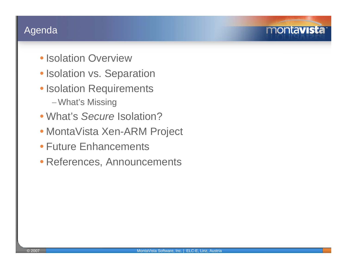#### Agenda

- Isolation Overview
- Isolation vs. Separation
- Isolation Requirements <sup>−</sup>What's Missing
- What's *Secure* Isolation?
- MontaVista Xen-ARM Project
- Future Enhancements
- References, Announcements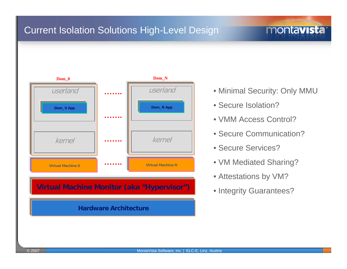## Current Isolation Solutions High-Level Design



#### **Virtual Machine Monitor (aka "Hypervisor")**

#### **Hardware Architecture**

• Minimal Security: Only MMU

montavista<sup>®</sup>

- Secure Isolation?
- VMM Access Control?
- Secure Communication?
- Secure Services?
- VM Mediated Sharing?
- Attestations by VM?
- Integrity Guarantees?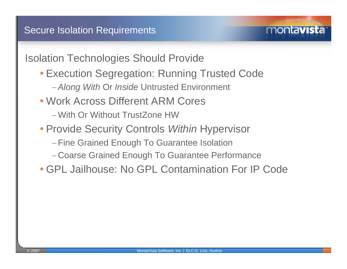•Isolation Technologies Should Provide

• Execution Segregation: Running Trusted Code

- <sup>−</sup>*Along With* Or *Inside* Untrusted Environment
- Work Across Different ARM Cores
	- −With Or Without TrustZone HW
- Provide Security Controls *Within* Hypervisor
	- <sup>−</sup>Fine Grained Enough To Guarantee Isolation
	- Coarse Grained Enough To Guarantee Performance
- GPL Jailhouse: No GPL Contamination For IP Code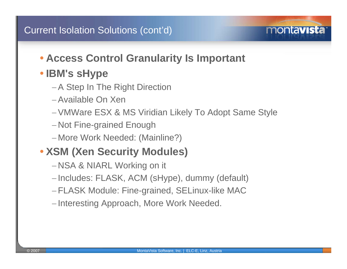# • **Access Control Granularity Is Important**

# • **IBM's sHype**

- <sup>−</sup>A Step In The Right Direction
- −Available On Xen
- <sup>−</sup>VMWare ESX & MS Viridian Likely To Adopt Same Style

montavista

- Not Fine-grained Enough
- More Work Needed: (Mainline?)

# • **XSM (Xen Security Modules)**

- NSA & NIARL Working on it
- –Includes: FLASK, ACM (sHype), dummy (default)
- <sup>−</sup>FLASK Module: Fine-grained, SELinux-like MAC
- Interesting Approach, More Work Needed.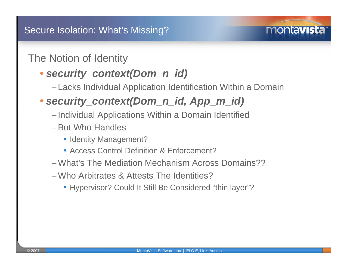## The Notion of Identity

# • *security\_context(Dom\_n\_id)*

Lacks Individual Application Identification Within a Domain

montavista

# • *security\_context(Dom\_n\_id, App\_m\_id)*

- Individual Applications Within a Domain Identified
- <sup>−</sup>But Who Handles
	- Identity Management?
	- Access Control Definition & Enforcement?
- −What's The Mediation Mechanism Across Domains??
- −Who Arbitrates & Attests The Identities?
	- Hypervisor? Could It Still Be Considered "thin layer"?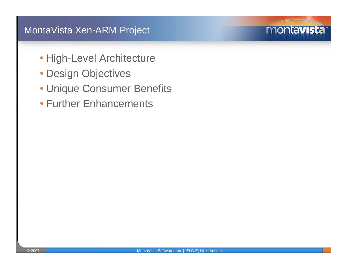- High-Level Architecture
- Design Objectives
- Unique Consumer Benefits
- Further Enhancements

montavista<sup>®</sup>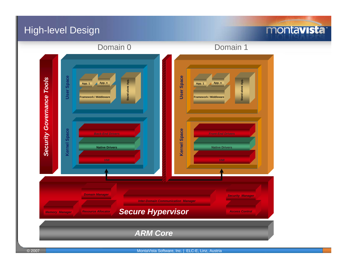#### High-level Design

## montavista<sup>®</sup>

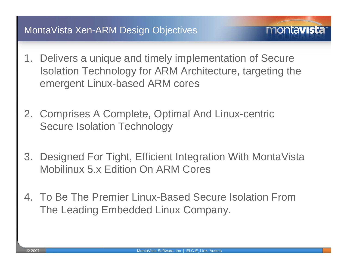1. Delivers a unique and timely implementation of Secure Isolation Technology for ARM Architecture, targeting the emergent Linux-based ARM cores

- 2. Comprises A Complete, Optimal And Linux-centric Secure Isolation Technology
- 3. Designed For Tight, Efficient Integration With MontaVista Mobilinux 5.x Edition On ARM Cores
- 4. To Be The Premier Linux-Based Secure Isolation From The Leading Embedded Linux Company.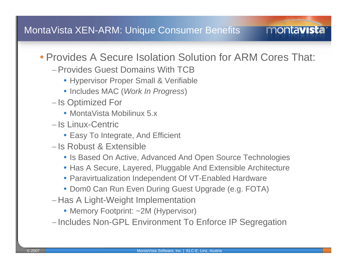# • Provides A Secure Isolation Solution for ARM Cores That:

- −Provides Guest Domains With TCB
	- Hypervisor Proper Small & Verifiable
	- Includes MAC (*Work In Progress*)
- –Is Optimized For
	- MontaVista Mobilinux 5.x
- − Is Linux-Centric
	- Easy To Integrate, And Efficient
- − Is Robust & Extensible
	- Is Based On Active, Advanced And Open Source Technologies
	- Has A Secure, Layered, Pluggable And Extensible Architecture
	- Paravirtualization Independent Of VT-Enabled Hardware
	- Dom0 Can Run Even During Guest Upgrade (e.g. FOTA)
- Has A Light-Weight Implementation
	- Memory Footprint: ~2M (Hypervisor)
- Includes Non-GPL Environment To Enforce IP Segregation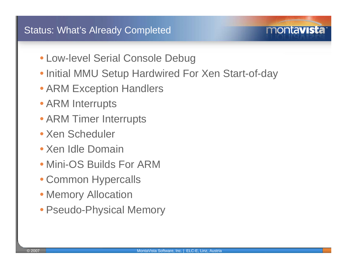#### Status: What's Already Completed

- Low-level Serial Console Debug
- Initial MMU Setup Hardwired For Xen Start-of-day

- ARM Exception Handlers
- ARM Interrupts
- ARM Timer Interrupts
- Xen Scheduler
- Xen Idle Domain
- Mini-OS Builds For ARM
- Common Hypercalls
- Memory Allocation
- Pseudo-Physical Memory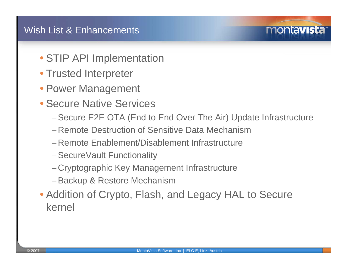- STIP API Implementation
- Trusted Interpreter
- Power Management
- Secure Native Services
	- <sup>−</sup>Secure E2E OTA (End to End Over The Air) Update Infrastructure

- − Remote Destruction of Sensitive Data Mechanism
- − Remote Enablement/Disablement Infrastructure
- <sup>−</sup>SecureVault Functionality
- Cryptographic Key Management Infrastructure
- <sup>−</sup>Backup & Restore Mechanism
- Addition of Crypto, Flash, and Legacy HAL to Secure kernel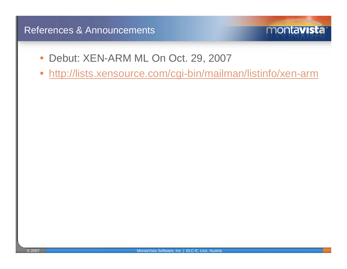#### References & Announcements

- $\bullet$ Debut: XEN-ARM ML On Oct. 29, 2007
- $\bullet$ <http://lists.xensource.com/cgi-bin/mailman/listinfo/xen-arm>